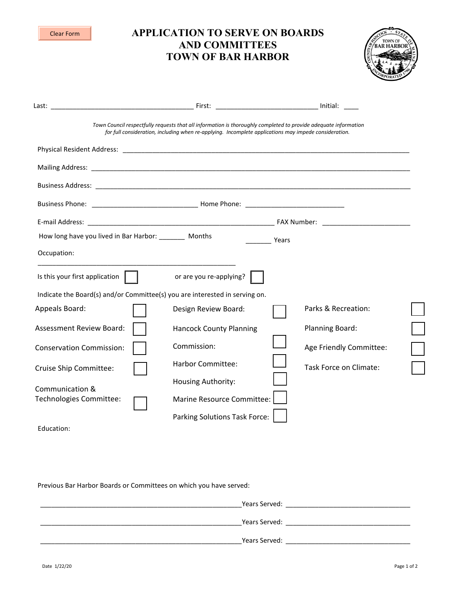| <b>APPLICATION TO SERVE ON BOARDS</b><br><b>Clear Form</b><br><b>AND COMMITTEES</b><br><b>TOWN OF BAR HARBOR</b> |                                                                                                       |                                                                                                                 |  |  |
|------------------------------------------------------------------------------------------------------------------|-------------------------------------------------------------------------------------------------------|-----------------------------------------------------------------------------------------------------------------|--|--|
|                                                                                                                  |                                                                                                       |                                                                                                                 |  |  |
|                                                                                                                  | for full consideration, including when re-applying. Incomplete applications may impede consideration. | Town Council respectfully requests that all information is thoroughly completed to provide adequate information |  |  |
|                                                                                                                  |                                                                                                       |                                                                                                                 |  |  |
|                                                                                                                  |                                                                                                       |                                                                                                                 |  |  |
|                                                                                                                  |                                                                                                       |                                                                                                                 |  |  |
|                                                                                                                  |                                                                                                       |                                                                                                                 |  |  |
|                                                                                                                  |                                                                                                       |                                                                                                                 |  |  |
| How long have you lived in Bar Harbor: ________ Months                                                           |                                                                                                       | <b>Prediction</b>                                                                                               |  |  |
| Occupation:                                                                                                      |                                                                                                       |                                                                                                                 |  |  |
| Is this your first application $\ \cdot\ $                                                                       | or are you re-applying?                                                                               |                                                                                                                 |  |  |
|                                                                                                                  | Indicate the Board(s) and/or Committee(s) you are interested in serving on.                           |                                                                                                                 |  |  |
| Appeals Board:                                                                                                   | Design Review Board:                                                                                  | Parks & Recreation:                                                                                             |  |  |
| Assessment Review Board:                                                                                         | <b>Hancock County Planning</b>                                                                        | <b>Planning Board:</b>                                                                                          |  |  |
| <b>Conservation Commission:</b>                                                                                  | Commission:                                                                                           | Age Friendly Committee:                                                                                         |  |  |
| Cruise Ship Committee:                                                                                           | <b>Harbor Committee:</b>                                                                              | Task Force on Climate:                                                                                          |  |  |
|                                                                                                                  | Housing Authority:                                                                                    |                                                                                                                 |  |  |
| Communication &<br>Technologies Committee:                                                                       | Marine Resource Committee:                                                                            |                                                                                                                 |  |  |
|                                                                                                                  | Parking Solutions Task Force:                                                                         |                                                                                                                 |  |  |
| Education:                                                                                                       |                                                                                                       |                                                                                                                 |  |  |

Previous Bar Harbor Boards or Committees on which you have served:

| Years Served: |  |
|---------------|--|
| Years Served: |  |
| Years Served: |  |